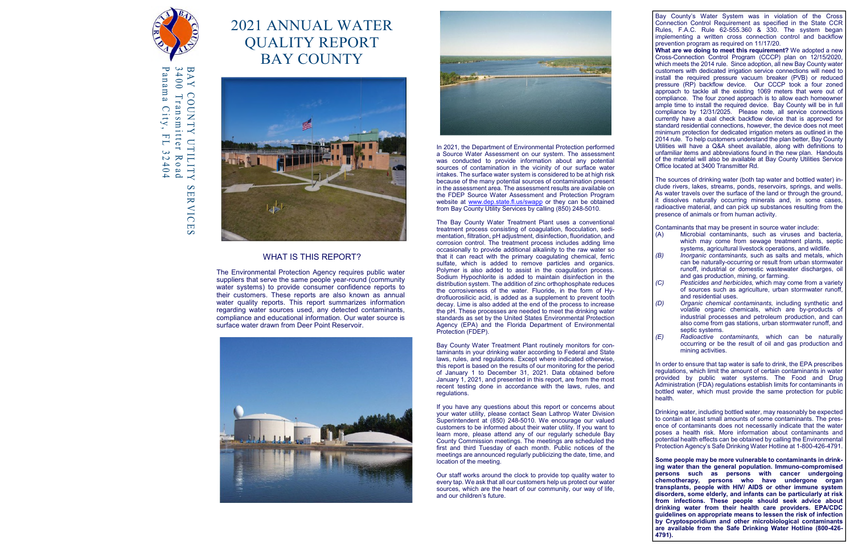In 2021, the Department of Environmental Protection performed a Source Water Assessment on our system. The assessment was conducted to provide information about any potential sources of contamination in the vicinity of our surface water intakes. The surface water system is considered to be at high risk because of the many potential sources of contamination present in the assessment area. The assessment results are available on the FDEP Source Water Assessment and Protection Program website at www.dep.state.fl.us/swapp or they can be obtained from Bay County Utility Services by calling (850) 248-5010.

The Bay County Water Treatment Plant uses a conventional treatment process consisting of coagulation, flocculation, sedimentation, filtration, pH adjustment, disinfection, fluoridation, and corrosion control. The treatment process includes adding lime occasionally to provide additional alkalinity to the raw water so that it can react with the primary coagulating chemical, ferric sulfate, which is added to remove particles and organics. Polymer is also added to assist in the coagulation process. Sodium Hypochlorite is added to maintain disinfection in the distribution system. The addition of zinc orthophosphate reduces the corrosiveness of the water. Fluoride, in the form of Hydrofluorosilicic acid, is added as a supplement to prevent tooth decay. Lime is also added at the end of the process to increase the pH. These processes are needed to meet the drinking water standards as set by the United States Environmental Protection Agency (EPA) and the Florida Department of Environmental Protection (FDEP).

If you have any questions about this report or concerns about your water utility, please contact Sean Lathrop Water Division Superintendent at (850) 248-5010. We encourage our valued customers to be informed about their water utility. If you want to learn more, please attend any of our regularly schedule Bay County Commission meetings. The meetings are scheduled the first and third Tuesday of each month. Public notices of the meetings are announced regularly publicizing the date, time, and location of the meeting.



#### $\Xi$  $\blacktriangleright$  $\prec$  $\bigcap$  $\bigcirc$  $\Box$  $\mathsf{Z}$  $\Rightarrow$  $\prec$  $\Box$ TILIT  $\prec$  $\boldsymbol{\omega}$  $\Box$  $\blacktriangleright$  $\prec$  $\overline{\Omega}$ ى  $\rightarrow$  $\bullet$  $\bullet$ T r a n s m i t t e r R<br>o a d P a n a m a City, F  $\overline{\phantom{0}}$ ى  $\sim$ 4  $\bullet$ 4

 $\Box$  $\boldsymbol{\omega}$ 

> Bay County Water Treatment Plant routinely monitors for contaminants in your drinking water according to Federal and State laws, rules, and regulations. Except where indicated otherwise, this report is based on the results of our monitoring for the period of January 1 to December 31, 2021. Data obtained before January 1, 2021, and presented in this report, are from the most recent testing done in accordance with the laws, rules, and regulations.

> Our staff works around the clock to provide top quality water to every tap. We ask that all our customers help us protect our water sources, which are the heart of our community, our way of life. and our children's future.

# 2021 ANNUAL WATER QUALITY REPORT BAY COUNTY



### WHAT IS THIS REPORT?

The Environmental Protection Agency requires public water suppliers that serve the same people year-round (community water systems) to provide consumer confidence reports to their customers. These reports are also known as annual water quality reports. This report summarizes information regarding water sources used, any detected contaminants, compliance and educational information. Our water source is surface water drawn from Deer Point Reservoir.





- Microbial contaminants, such as viruses and bacteria, which may come from sewage treatment plants, septic systems, agricultural livestock operations, and wildlife.
- *(B) Inorganic contaminants,* such as salts and metals, which can be naturally-occurring or result from urban stormwater runoff, industrial or domestic wastewater discharges, oil and gas production, mining, or farming.
- *(C) Pesticides and herbicides,* which may come from a variety of sources such as agriculture, urban stormwater runoff, and residential uses.
- *(D) Organic chemical contaminants,* including synthetic and volatile organic chemicals, which are by-products of industrial processes and petroleum production, and can also come from gas stations, urban stormwater runoff, and septic systems.
- *(E) Radioactive contaminants,* which can be naturally occurring or be the result of oil and gas production and mining activities.

Bay County's Water System was in violation of the Cross Connection Control Requirement as specified in the State CCR Rules, F.A.C. Rule 62-555.360 & 330. The system began implementing a written cross connection control and backflow prevention program as required on 11/17/20.

**What are we doing to meet this requirement?** We adopted a new Cross-Connection Control Program (CCCP) plan on 12/15/2020, which meets the 2014 rule. Since adoption, all new Bay County water customers with dedicated irrigation service connections will need to install the required pressure vacuum breaker (PVB) or reduced pressure (RP) backflow device. Our CCCP took a four zoned approach to tackle all the existing 1069 meters that were out of compliance. The four zoned approach is to allow each homeowner ample time to install the required device. Bay County will be in full compliance by 12/31/2025. Please note, all service connections currently have a dual check backflow device that is approved for standard residential connections, however, the device does not meet minimum protection for dedicated irrigation meters as outlined in the 2014 rule. To help customers understand the plan better, Bay County Utilities will have a Q&A sheet available, along with definitions to unfamiliar items and abbreviations found in the new plan. Handouts of the material will also be available at Bay County Utilities Service Office located at 3400 Transmitter Rd.

The sources of drinking water (both tap water and bottled water) include rivers, lakes, streams, ponds, reservoirs, springs, and wells. As water travels over the surface of the land or through the ground, it dissolves naturally occurring minerals and, in some cases, radioactive material, and can pick up substances resulting from the presence of animals or from human activity.

Contaminants that may be present in source water include:

In order to ensure that tap water is safe to drink, the EPA prescribes regulations, which limit the amount of certain contaminants in water provided by public water systems. The Food and Drug Administration (FDA) regulations establish limits for contaminants in bottled water, which must provide the same protection for public health.

Drinking water, including bottled water, may reasonably be expected to contain at least small amounts of some contaminants. The presence of contaminants does not necessarily indicate that the water poses a health risk. More information about contaminants and potential health effects can be obtained by calling the Environmental Protection Agency's Safe Drinking Water Hotline at 1-800-426-4791.

**Some people may be more vulnerable to contaminants in drinking water than the general population. Immuno-compromised persons such as persons with cancer undergoing chemotherapy, persons who have undergone organ transplants, people with HIV/ AIDS or other immune system disorders, some elderly, and infants can be particularly at risk from infections. These people should seek advice about drinking water from their health care providers. EPA/CDC guidelines on appropriate means to lessen the risk of infection by Cryptosporidium and other microbiological contaminants are available from the Safe Drinking Water Hotline (800-426- 4791).**